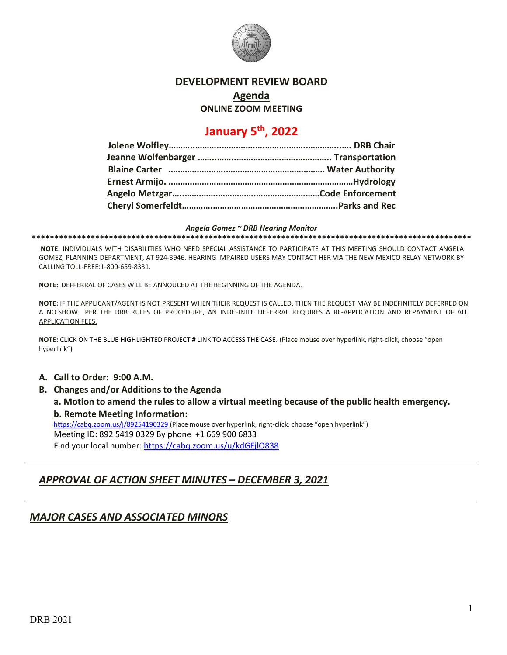

## **DEVELOPMENT REVIEW BOARD**

#### **Agenda**

**ONLINE ZOOM MEETING**

# **January 5th, 2022**

#### *Angela Gomez ~ DRB Hearing Monitor*

**\*\*\*\*\*\*\*\*\*\*\*\*\*\*\*\*\*\*\*\*\*\*\*\*\*\*\*\*\*\*\*\*\*\*\*\*\*\*\*\*\*\*\*\*\*\*\*\*\*\*\*\*\*\*\*\*\*\*\*\*\*\*\*\*\*\*\*\*\*\*\*\*\*\*\*\*\*\*\*\*\*\*\*\*\*\*\*\*\*\*\*\*\*\*\*\*\***

**NOTE:** INDIVIDUALS WITH DISABILITIES WHO NEED SPECIAL ASSISTANCE TO PARTICIPATE AT THIS MEETING SHOULD CONTACT ANGELA GOMEZ, PLANNING DEPARTMENT, AT 924-3946. HEARING IMPAIRED USERS MAY CONTACT HER VIA THE NEW MEXICO RELAY NETWORK BY CALLING TOLL-FREE:1-800-659-8331.

**NOTE:** DEFFERRAL OF CASES WILL BE ANNOUCED AT THE BEGINNING OF THE AGENDA.

**NOTE:** IF THE APPLICANT/AGENT IS NOT PRESENT WHEN THEIR REQUEST IS CALLED, THEN THE REQUEST MAY BE INDEFINITELY DEFERRED ON A NO SHOW. PER THE DRB RULES OF PROCEDURE, AN INDEFINITE DEFERRAL REQUIRES A RE-APPLICATION AND REPAYMENT OF ALL APPLICATION FEES.

**NOTE:** CLICK ON THE BLUE HIGHLIGHTED PROJECT # LINK TO ACCESS THE CASE. (Place mouse over hyperlink, right-click, choose "open hyperlink")

- **A. Call to Order: 9:00 A.M.**
- **B. Changes and/or Additions to the Agenda a. Motion to amend the rules to allow a virtual meeting because of the public health emergency. b. Remote Meeting Information:** <https://cabq.zoom.us/j/89254190329> (Place mouse over hyperlink, right-click, choose "open hyperlink") Meeting ID: 892 5419 0329 By phone +1 669 900 6833

Find your local number[: https://cabq.zoom.us/u/kdGEjlO838](https://cabq.zoom.us/u/kdGEjlO838)

## *APPROVAL OF ACTION SHEET MINUTES – DECEMBER 3, 2021*

## *MAJOR CASES AND ASSOCIATED MINORS*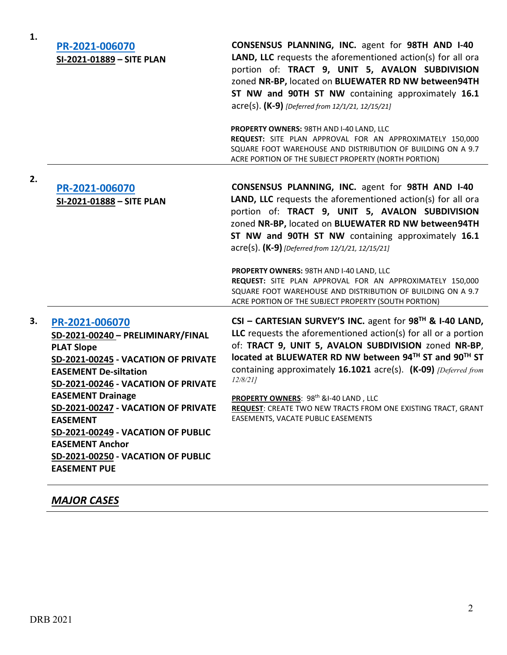| 1. | PR-2021-006070<br>SI-2021-01889 - SITE PLAN                                                                                                                                                                                                                                                                                                                                                                      | <b>CONSENSUS PLANNING, INC. agent for 98TH AND I-40</b><br>LAND, LLC requests the aforementioned action(s) for all ora<br>portion of: TRACT 9, UNIT 5, AVALON SUBDIVISION<br>zoned NR-BP, located on BLUEWATER RD NW between94TH<br>ST NW and 90TH ST NW containing approximately 16.1<br>acre(s). (K-9) [Deferred from 12/1/21, 12/15/21]<br><b>PROPERTY OWNERS: 98TH AND I-40 LAND, LLC</b><br>REQUEST: SITE PLAN APPROVAL FOR AN APPROXIMATELY 150,000<br>SQUARE FOOT WAREHOUSE AND DISTRIBUTION OF BUILDING ON A 9.7                                                                                                          |
|----|------------------------------------------------------------------------------------------------------------------------------------------------------------------------------------------------------------------------------------------------------------------------------------------------------------------------------------------------------------------------------------------------------------------|-----------------------------------------------------------------------------------------------------------------------------------------------------------------------------------------------------------------------------------------------------------------------------------------------------------------------------------------------------------------------------------------------------------------------------------------------------------------------------------------------------------------------------------------------------------------------------------------------------------------------------------|
| 2. | PR-2021-006070<br>SI-2021-01888 - SITE PLAN                                                                                                                                                                                                                                                                                                                                                                      | ACRE PORTION OF THE SUBJECT PROPERTY (NORTH PORTION)<br>CONSENSUS PLANNING, INC. agent for 98TH AND I-40<br><b>LAND, LLC</b> requests the aforementioned action(s) for all ora<br>portion of: TRACT 9, UNIT 5, AVALON SUBDIVISION<br>zoned NR-BP, located on BLUEWATER RD NW between94TH<br>ST NW and 90TH ST NW containing approximately 16.1<br>acre(s). (K-9) [Deferred from 12/1/21, 12/15/21]<br>PROPERTY OWNERS: 98TH AND I-40 LAND, LLC<br>REQUEST: SITE PLAN APPROVAL FOR AN APPROXIMATELY 150,000<br>SQUARE FOOT WAREHOUSE AND DISTRIBUTION OF BUILDING ON A 9.7<br>ACRE PORTION OF THE SUBJECT PROPERTY (SOUTH PORTION) |
| 3. | PR-2021-006070<br>SD-2021-00240 - PRELIMINARY/FINAL<br><b>PLAT Slope</b><br>SD-2021-00245 - VACATION OF PRIVATE<br><b>EASEMENT De-siltation</b><br><b>SD-2021-00246 - VACATION OF PRIVATE</b><br><b>EASEMENT Drainage</b><br>SD-2021-00247 - VACATION OF PRIVATE<br><b>EASEMENT</b><br>SD-2021-00249 - VACATION OF PUBLIC<br><b>EASEMENT Anchor</b><br>SD-2021-00250 - VACATION OF PUBLIC<br><b>EASEMENT PUE</b> | CSI - CARTESIAN SURVEY'S INC. agent for $98^{TH}$ & I-40 LAND,<br>LLC requests the aforementioned $action(s)$ for all or a portion<br>of: TRACT 9, UNIT 5, AVALON SUBDIVISION zoned NR-BP,<br>located at BLUEWATER RD NW between 94TH ST and 90TH ST<br>containing approximately 16.1021 acre(s). (K-09) <i>[Deferred from</i><br>12/8/211<br>PROPERTY OWNERS: 98th &I-40 LAND, LLC<br><b>REQUEST:</b> CREATE TWO NEW TRACTS FROM ONE EXISTING TRACT, GRANT<br>EASEMENTS, VACATE PUBLIC EASEMENTS                                                                                                                                 |

## *MAJOR CASES*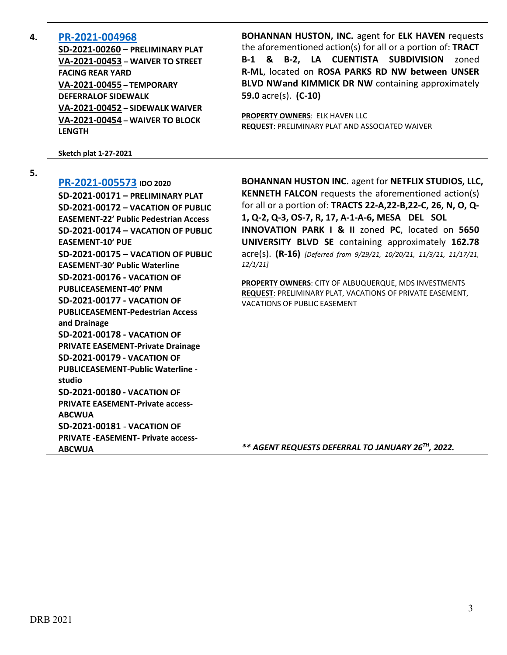### **4. [PR-2021-004968](http://data.cabq.gov/government/planning/DRB/PR-2021-004968/DRB%20Submittals/PR-2021-004968_Jan_5_2022_(PP,%20TDSW,%20Waiver%20x3)/Original%20Application/0000Digital%20Submittal_12-10-2021%20(1).pdf)**

**SD-2021-00260 – PRELIMINARY PLAT VA-2021-00453 – WAIVER TO STREET FACING REAR YARD VA-2021-00455 – TEMPORARY DEFERRALOF SIDEWALK VA-2021-00452 – SIDEWALK WAIVER VA-2021-00454 – WAIVER TO BLOCK LENGTH**

**Sketch plat 1-27-2021**

**5.**

**[PR-2021-005573](http://data.cabq.gov/government/planning/DRB/PR-2021-005573/DRB%20Submittals/) IDO 2020**

**SD-2021-00171 – PRELIMINARY PLAT SD-2021-00172 – VACATION OF PUBLIC EASEMENT-22' Public Pedestrian Access SD-2021-00174 – VACATION OF PUBLIC EASEMENT-10' PUE SD-2021-00175 – VACATION OF PUBLIC EASEMENT-30' Public Waterline SD-2021-00176 - VACATION OF PUBLICEASEMENT-40' PNM SD-2021-00177 - VACATION OF PUBLICEASEMENT-Pedestrian Access and Drainage SD-2021-00178 - VACATION OF PRIVATE EASEMENT-Private Drainage SD-2021-00179 - VACATION OF PUBLICEASEMENT-Public Waterline studio SD-2021-00180 - VACATION OF PRIVATE EASEMENT-Private access-ABCWUA SD-2021-00181** - **VACATION OF PRIVATE -EASEMENT- Private access-ABCWUA**

**BOHANNAN HUSTON, INC.** agent for **ELK HAVEN** requests the aforementioned action(s) for all or a portion of: **TRACT B-1 & B-2, LA CUENTISTA SUBDIVISION** zoned **R-ML**, located on **ROSA PARKS RD NW between UNSER BLVD NWand KIMMICK DR NW** containing approximately **59.0** acre(s). **(C-10)**

**PROPERTY OWNERS**: ELK HAVEN LLC **REQUEST**: PRELIMINARY PLAT AND ASSOCIATED WAIVER

**BOHANNAN HUSTON INC.** agent for **NETFLIX STUDIOS, LLC, KENNETH FALCON** requests the aforementioned action(s) for all or a portion of: **TRACTS 22-A,22-B,22-C, 26, N, O, Q-1, Q-2, Q-3, OS-7, R, 17, A-1-A-6, MESA DEL SOL INNOVATION PARK I & II** zoned **PC**, located on **5650 UNIVERSITY BLVD SE** containing approximately **162.78** acre(s). **(R-16)** *[Deferred from 9/29/21, 10/20/21, 11/3/21, 11/17/21, 12/1/21]*

**PROPERTY OWNERS**: CITY OF ALBUQUERQUE, MDS INVESTMENTS **REQUEST**: PRELIMINARY PLAT, VACATIONS OF PRIVATE EASEMENT, VACATIONS OF PUBLIC EASEMENT

*\*\* AGENT REQUESTS DEFERRAL TO JANUARY 26TH, 2022.*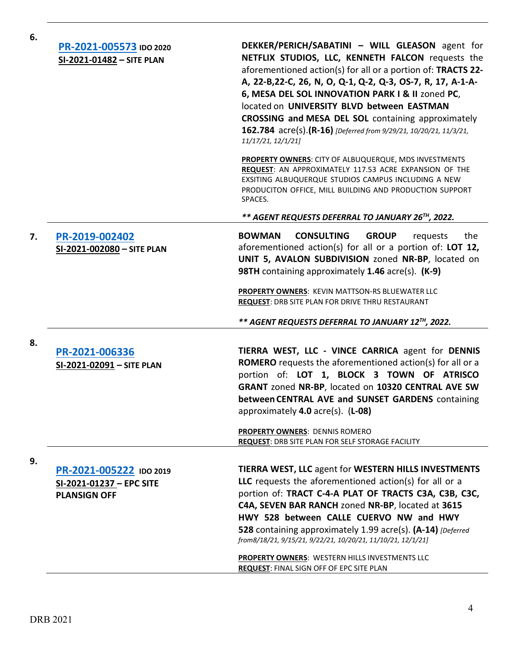| 6. | PR-2021-005573 IDO 2020<br>SI-2021-01482 - SITE PLAN                       | DEKKER/PERICH/SABATINI - WILL GLEASON agent for<br>NETFLIX STUDIOS, LLC, KENNETH FALCON requests the<br>aforementioned action(s) for all or a portion of: TRACTS 22-<br>A, 22-B, 22-C, 26, N, O, Q-1, Q-2, Q-3, OS-7, R, 17, A-1-A-<br>6, MESA DEL SOL INNOVATION PARK I & II zoned PC,<br>located on UNIVERSITY BLVD between EASTMAN<br><b>CROSSING and MESA DEL SOL</b> containing approximately<br>162.784 acre(s).(R-16) [Deferred from 9/29/21, 10/20/21, 11/3/21,<br>11/17/21, 12/1/21]<br>PROPERTY OWNERS: CITY OF ALBUQUERQUE, MDS INVESTMENTS<br>REQUEST: AN APPROXIMATELY 117.53 ACRE EXPANSION OF THE<br>EXSITING ALBUQUERQUE STUDIOS CAMPUS INCLUDING A NEW<br>PRODUCITON OFFICE, MILL BUILDING AND PRODUCTION SUPPORT<br>SPACES. |
|----|----------------------------------------------------------------------------|-----------------------------------------------------------------------------------------------------------------------------------------------------------------------------------------------------------------------------------------------------------------------------------------------------------------------------------------------------------------------------------------------------------------------------------------------------------------------------------------------------------------------------------------------------------------------------------------------------------------------------------------------------------------------------------------------------------------------------------------------|
|    |                                                                            | ** AGENT REQUESTS DEFERRAL TO JANUARY 26TH, 2022.                                                                                                                                                                                                                                                                                                                                                                                                                                                                                                                                                                                                                                                                                             |
| 7. | PR-2019-002402<br>SI-2021-002080 - SITE PLAN                               | <b>BOWMAN</b><br><b>CONSULTING</b><br><b>GROUP</b><br>the<br>requests<br>aforementioned action(s) for all or a portion of: LOT 12,<br>UNIT 5, AVALON SUBDIVISION zoned NR-BP, located on<br>98TH containing approximately 1.46 acre(s). (K-9)                                                                                                                                                                                                                                                                                                                                                                                                                                                                                                 |
|    |                                                                            | <b>PROPERTY OWNERS: KEVIN MATTSON-RS BLUEWATER LLC</b><br>REQUEST: DRB SITE PLAN FOR DRIVE THRU RESTAURANT                                                                                                                                                                                                                                                                                                                                                                                                                                                                                                                                                                                                                                    |
|    |                                                                            | ** AGENT REQUESTS DEFERRAL TO JANUARY 12TH, 2022.                                                                                                                                                                                                                                                                                                                                                                                                                                                                                                                                                                                                                                                                                             |
| 8. | PR-2021-006336<br>SI-2021-02091 - SITE PLAN                                | TIERRA WEST, LLC - VINCE CARRICA agent for DENNIS<br><b>ROMERO</b> requests the aforementioned action(s) for all or a<br>portion of: LOT 1, BLOCK 3 TOWN OF ATRISCO<br>GRANT zoned NR-BP, located on 10320 CENTRAL AVE SW<br>between CENTRAL AVE and SUNSET GARDENS containing<br>approximately 4.0 acre(s). (L-08)<br><b>PROPERTY OWNERS: DENNIS ROMERO</b>                                                                                                                                                                                                                                                                                                                                                                                  |
|    |                                                                            | REQUEST: DRB SITE PLAN FOR SELF STORAGE FACILITY                                                                                                                                                                                                                                                                                                                                                                                                                                                                                                                                                                                                                                                                                              |
| 9. | PR-2021-005222 IDO 2019<br>SI-2021-01237 - EPC SITE<br><b>PLANSIGN OFF</b> | <b>TIERRA WEST, LLC agent for WESTERN HILLS INVESTMENTS</b><br>LLC requests the aforementioned action(s) for all or a<br>portion of: TRACT C-4-A PLAT OF TRACTS C3A, C3B, C3C,<br>C4A, SEVEN BAR RANCH zoned NR-BP, located at 3615<br>HWY 528 between CALLE CUERVO NW and HWY<br>528 containing approximately 1.99 acre(s). (A-14) [Deferred]<br>from8/18/21, 9/15/21, 9/22/21, 10/20/21, 11/10/21, 12/1/21]                                                                                                                                                                                                                                                                                                                                 |
|    |                                                                            | PROPERTY OWNERS: WESTERN HILLS INVESTMENTS LLC<br><b>REQUEST: FINAL SIGN OFF OF EPC SITE PLAN</b>                                                                                                                                                                                                                                                                                                                                                                                                                                                                                                                                                                                                                                             |

DRB 2021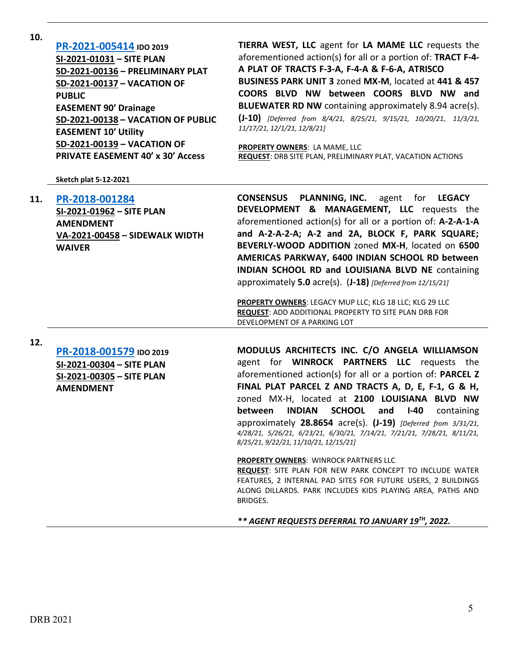| 10. | PR-2021-005414 IDO 2019<br>SI-2021-01031 - SITE PLAN<br>SD-2021-00136 - PRELIMINARY PLAT<br>SD-2021-00137 - VACATION OF<br><b>PUBLIC</b><br><b>EASEMENT 90' Drainage</b><br>SD-2021-00138 - VACATION OF PUBLIC<br><b>EASEMENT 10' Utility</b><br><b>SD-2021-00139 - VACATION OF</b><br><b>PRIVATE EASEMENT 40' x 30' Access</b><br><b>Sketch plat 5-12-2021</b> | TIERRA WEST, LLC agent for LA MAME LLC requests the<br>aforementioned action(s) for all or a portion of: TRACT F-4-<br>A PLAT OF TRACTS F-3-A, F-4-A & F-6-A, ATRISCO<br>BUSINESS PARK UNIT 3 zoned MX-M, located at 441 & 457<br>COORS BLVD NW between COORS BLVD NW and<br><b>BLUEWATER RD NW</b> containing approximately 8.94 acre(s).<br>(J-10) [Deferred from 8/4/21, 8/25/21, 9/15/21, 10/20/21, 11/3/21,<br>11/17/21, 12/1/21, 12/8/21]<br>PROPERTY OWNERS: LA MAME, LLC<br><b>REQUEST: DRB SITE PLAN, PRELIMINARY PLAT, VACATION ACTIONS</b>                                                                                                                                                                                                                                                                                                        |
|-----|-----------------------------------------------------------------------------------------------------------------------------------------------------------------------------------------------------------------------------------------------------------------------------------------------------------------------------------------------------------------|--------------------------------------------------------------------------------------------------------------------------------------------------------------------------------------------------------------------------------------------------------------------------------------------------------------------------------------------------------------------------------------------------------------------------------------------------------------------------------------------------------------------------------------------------------------------------------------------------------------------------------------------------------------------------------------------------------------------------------------------------------------------------------------------------------------------------------------------------------------|
| 11. | PR-2018-001284<br>SI-2021-01962 - SITE PLAN<br><b>AMENDMENT</b><br>VA-2021-00458 - SIDEWALK WIDTH<br><b>WAIVER</b>                                                                                                                                                                                                                                              | <b>PLANNING, INC.</b><br><b>CONSENSUS</b><br>agent for<br><b>LEGACY</b><br>DEVELOPMENT & MANAGEMENT, LLC requests the<br>aforementioned action(s) for all or a portion of: A-2-A-1-A<br>and A-2-A-2-A; A-2 and 2A, BLOCK F, PARK SQUARE;<br>BEVERLY-WOOD ADDITION zoned MX-H, located on 6500<br>AMERICAS PARKWAY, 6400 INDIAN SCHOOL RD between<br>INDIAN SCHOOL RD and LOUISIANA BLVD NE containing<br>approximately 5.0 acre(s). (J-18) [Deferred from 12/15/21]<br>PROPERTY OWNERS: LEGACY MUP LLC; KLG 18 LLC; KLG 29 LLC<br><b>REQUEST: ADD ADDITIONAL PROPERTY TO SITE PLAN DRB FOR</b><br>DEVELOPMENT OF A PARKING LOT                                                                                                                                                                                                                               |
| 12. | PR-2018-001579 IDO 2019<br>SI-2021-00304 - SITE PLAN<br>SI-2021-00305 - SITE PLAN<br><b>AMENDMENT</b>                                                                                                                                                                                                                                                           | MODULUS ARCHITECTS INC. C/O ANGELA WILLIAMSON<br>agent for <b>WINROCK PARTNERS LLC</b> requests the<br>aforementioned action(s) for all or a portion of: PARCEL Z<br>FINAL PLAT PARCEL Z AND TRACTS A, D, E, F-1, G & H,<br>zoned MX-H, located at 2100 LOUISIANA BLVD NW<br><b>INDIAN</b><br><b>SCHOOL</b><br>between<br>$I-40$<br>containing<br>and<br>approximately 28.8654 acre(s). (J-19) [Deferred from 3/31/21,<br>4/28/21, 5/26/21, 6/23/21, 6/30/21, 7/14/21, 7/21/21, 7/28/21, 8/11/21,<br>8/25/21, 9/22/21, 11/10/21, 12/15/21]<br><b>PROPERTY OWNERS: WINROCK PARTNERS LLC</b><br><b>REQUEST:</b> SITE PLAN FOR NEW PARK CONCEPT TO INCLUDE WATER<br>FEATURES, 2 INTERNAL PAD SITES FOR FUTURE USERS, 2 BUILDINGS<br>ALONG DILLARDS. PARK INCLUDES KIDS PLAYING AREA, PATHS AND<br>BRIDGES.<br>** AGENT REQUESTS DEFERRAL TO JANUARY 19TH, 2022. |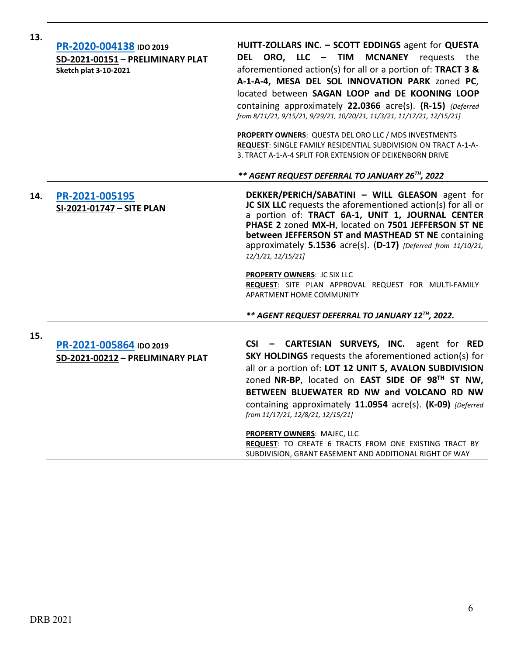| 13. | PR-2020-004138 IDO 2019<br>SD-2021-00151 - PRELIMINARY PLAT<br><b>Sketch plat 3-10-2021</b> | HUITT-ZOLLARS INC. - SCOTT EDDINGS agent for QUESTA<br>DEL ORO, LLC - TIM<br><b>MCNANEY</b><br>requests the<br>aforementioned action(s) for all or a portion of: TRACT 3 &<br>A-1-A-4, MESA DEL SOL INNOVATION PARK zoned PC,<br>located between SAGAN LOOP and DE KOONING LOOP<br>containing approximately 22.0366 acre(s). (R-15) {Deferred<br>from 8/11/21, 9/15/21, 9/29/21, 10/20/21, 11/3/21, 11/17/21, 12/15/21]<br>PROPERTY OWNERS: QUESTA DEL ORO LLC / MDS INVESTMENTS<br>REQUEST: SINGLE FAMILY RESIDENTIAL SUBDIVISION ON TRACT A-1-A-<br>3. TRACT A-1-A-4 SPLIT FOR EXTENSION OF DEIKENBORN DRIVE |
|-----|---------------------------------------------------------------------------------------------|----------------------------------------------------------------------------------------------------------------------------------------------------------------------------------------------------------------------------------------------------------------------------------------------------------------------------------------------------------------------------------------------------------------------------------------------------------------------------------------------------------------------------------------------------------------------------------------------------------------|
|     |                                                                                             | ** AGENT REQUEST DEFERRAL TO JANUARY 26TH, 2022                                                                                                                                                                                                                                                                                                                                                                                                                                                                                                                                                                |
| 14. | PR-2021-005195<br>SI-2021-01747 - SITE PLAN                                                 | DEKKER/PERICH/SABATINI - WILL GLEASON agent for<br>JC SIX LLC requests the aforementioned action(s) for all or<br>a portion of: TRACT 6A-1, UNIT 1, JOURNAL CENTER<br>PHASE 2 zoned MX-H, located on 7501 JEFFERSON ST NE<br>between JEFFERSON ST and MASTHEAD ST NE containing<br>approximately 5.1536 acre(s). (D-17) [Deferred from 11/10/21,<br>12/1/21, 12/15/21]                                                                                                                                                                                                                                         |
|     |                                                                                             | PROPERTY OWNERS: JC SIX LLC<br>REQUEST: SITE PLAN APPROVAL REQUEST FOR MULTI-FAMILY<br><b>APARTMENT HOME COMMUNITY</b>                                                                                                                                                                                                                                                                                                                                                                                                                                                                                         |
|     |                                                                                             | ** AGENT REQUEST DEFERRAL TO JANUARY 12TH, 2022.                                                                                                                                                                                                                                                                                                                                                                                                                                                                                                                                                               |
| 15. | PR-2021-005864 IDO 2019<br>SD-2021-00212 - PRELIMINARY PLAT                                 | CSI - CARTESIAN SURVEYS, INC. agent for RED<br><b>SKY HOLDINGS</b> requests the aforementioned action(s) for                                                                                                                                                                                                                                                                                                                                                                                                                                                                                                   |
|     |                                                                                             | all or a portion of: LOT 12 UNIT 5, AVALON SUBDIVISION<br>zoned NR-BP, located on EAST SIDE OF 98TH ST NW,<br>BETWEEN BLUEWATER RD NW and VOLCANO RD NW<br>containing approximately 11.0954 acre(s). (K-09) [Deferred<br>from 11/17/21, 12/8/21, 12/15/21]                                                                                                                                                                                                                                                                                                                                                     |
|     |                                                                                             | <b>PROPERTY OWNERS: MAJEC, LLC</b><br>REQUEST: TO CREATE 6 TRACTS FROM ONE EXISTING TRACT BY<br>SUBDIVISION, GRANT EASEMENT AND ADDITIONAL RIGHT OF WAY                                                                                                                                                                                                                                                                                                                                                                                                                                                        |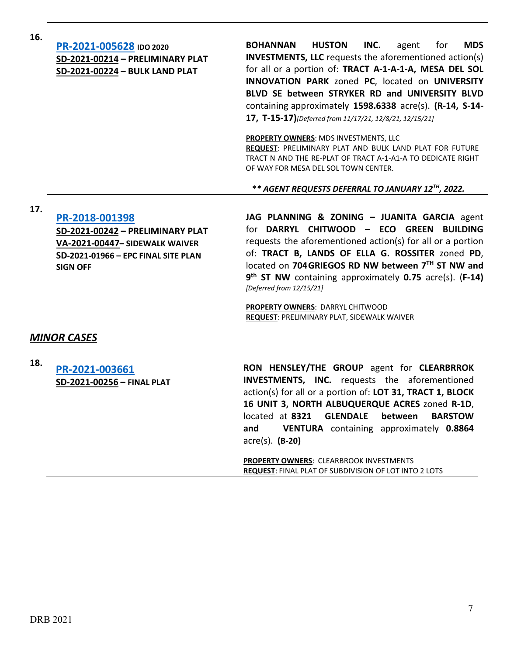| 16. | PR-2021-005628 IDO 2020<br>SD-2021-00214 - PRELIMINARY PLAT<br>SD-2021-00224 - BULK LAND PLAT                                                  | <b>BOHANNAN</b><br><b>HUSTON</b><br>INC.<br><b>MDS</b><br>agent<br>for<br><b>INVESTMENTS, LLC</b> requests the aforementioned action(s)<br>for all or a portion of: TRACT A-1-A-1-A, MESA DEL SOL<br>INNOVATION PARK zoned PC, located on UNIVERSITY<br>BLVD SE between STRYKER RD and UNIVERSITY BLVD<br>containing approximately 1598.6338 acre(s). (R-14, S-14-<br>17, T-15-17)[Deferred from 11/17/21, 12/8/21, 12/15/21] |
|-----|------------------------------------------------------------------------------------------------------------------------------------------------|-------------------------------------------------------------------------------------------------------------------------------------------------------------------------------------------------------------------------------------------------------------------------------------------------------------------------------------------------------------------------------------------------------------------------------|
|     |                                                                                                                                                | <b>PROPERTY OWNERS: MDS INVESTMENTS, LLC</b><br><b>REQUEST: PRELIMINARY PLAT AND BULK LAND PLAT FOR FUTURE</b><br>TRACT N AND THE RE-PLAT OF TRACT A-1-A1-A TO DEDICATE RIGHT<br>OF WAY FOR MESA DEL SOL TOWN CENTER.                                                                                                                                                                                                         |
|     |                                                                                                                                                | ** AGENT REQUESTS DEFERRAL TO JANUARY 12TH, 2022.                                                                                                                                                                                                                                                                                                                                                                             |
| 17. | PR-2018-001398<br>SD-2021-00242 - PRELIMINARY PLAT<br>VA-2021-00447- SIDEWALK WAIVER<br>SD-2021-01966 - EPC FINAL SITE PLAN<br><b>SIGN OFF</b> | JAG PLANNING & ZONING - JUANITA GARCIA agent<br>for DARRYL CHITWOOD - ECO GREEN BUILDING<br>requests the aforementioned action(s) for all or a portion<br>of: TRACT B, LANDS OF ELLA G. ROSSITER zoned PD,<br>located on 704GRIEGOS RD NW between 7TH ST NW and<br>9 <sup>th</sup> ST NW containing approximately 0.75 acre(s). (F-14)<br>[Deferred from 12/15/21]<br>PROPERTY OWNERS: DARRYL CHITWOOD                        |
|     |                                                                                                                                                | <b>REQUEST: PRELIMINARY PLAT, SIDEWALK WAIVER</b>                                                                                                                                                                                                                                                                                                                                                                             |
|     | <b>MINOR CASES</b>                                                                                                                             |                                                                                                                                                                                                                                                                                                                                                                                                                               |
| 18. | PR-2021-003661<br>SD-2021-00256 - FINAL PLAT                                                                                                   | RON HENSLEY/THE GROUP agent for CLEARBRROK<br><b>INVESTMENTS, INC.</b> requests the aforementioned<br>action(s) for all or a portion of: LOT 31, TRACT 1, BLOCK<br>16 UNIT 3, NORTH ALBUQUERQUE ACRES zoned R-1D,<br>located at 8321<br><b>GLENDALE</b><br>between<br><b>BARSTOW</b><br>VENTURA containing approximately 0.8864<br>and<br>$\text{acre}(s)$ . (B-20)                                                           |

**PROPERTY OWNERS**: CLEARBROOK INVESTMENTS **REQUEST**: FINAL PLAT OF SUBDIVISION OF LOT INTO 2 LOTS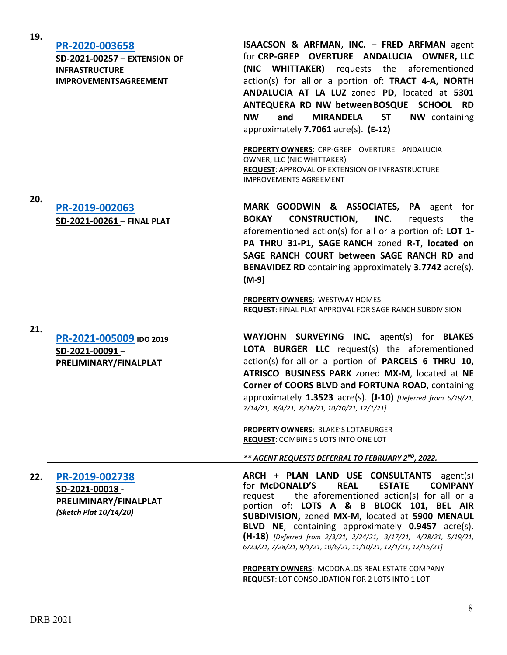| 19. | PR-2020-003658<br>SD-2021-00257 - EXTENSION OF<br><b>INFRASTRUCTURE</b><br><b>IMPROVEMENTSAGREEMENT</b> | ISAACSON & ARFMAN, INC. - FRED ARFMAN agent<br>for CRP-GREP OVERTURE ANDALUCIA OWNER, LLC<br>(NIC WHITTAKER) requests the aforementioned<br>action(s) for all or a portion of: TRACT 4-A, NORTH<br>ANDALUCIA AT LA LUZ zoned PD, located at 5301<br>ANTEQUERA RD NW between BOSQUE SCHOOL RD<br><b>NW</b><br>and<br><b>MIRANDELA</b><br><b>ST</b><br><b>NW</b> containing<br>approximately 7.7061 acre(s). (E-12)<br>PROPERTY OWNERS: CRP-GREP OVERTURE ANDALUCIA<br>OWNER, LLC (NIC WHITTAKER)<br>REQUEST: APPROVAL OF EXTENSION OF INFRASTRUCTURE<br><b>IMPROVEMENTS AGREEMENT</b> |
|-----|---------------------------------------------------------------------------------------------------------|--------------------------------------------------------------------------------------------------------------------------------------------------------------------------------------------------------------------------------------------------------------------------------------------------------------------------------------------------------------------------------------------------------------------------------------------------------------------------------------------------------------------------------------------------------------------------------------|
| 20. | PR-2019-002063<br>SD-2021-00261 - FINAL PLAT                                                            | MARK GOODWIN & ASSOCIATES, PA agent<br>for<br><b>CONSTRUCTION,</b><br>INC.<br><b>BOKAY</b><br>requests<br>the<br>aforementioned action(s) for all or a portion of: LOT 1-<br>PA THRU 31-P1, SAGE RANCH zoned R-T, located on<br>SAGE RANCH COURT between SAGE RANCH RD and<br>BENAVIDEZ RD containing approximately 3.7742 acre(s).<br>$(M-9)$                                                                                                                                                                                                                                       |
|     |                                                                                                         | PROPERTY OWNERS: WESTWAY HOMES<br>REQUEST: FINAL PLAT APPROVAL FOR SAGE RANCH SUBDIVISION                                                                                                                                                                                                                                                                                                                                                                                                                                                                                            |
| 21. | PR-2021-005009 IDO 2019<br>SD-2021-00091-<br>PRELIMINARY/FINALPLAT                                      | WAYJOHN SURVEYING INC. agent(s) for BLAKES<br>LOTA BURGER LLC request(s) the aforementioned<br>action(s) for all or a portion of PARCELS 6 THRU 10,<br>ATRISCO BUSINESS PARK zoned MX-M, located at NE<br>Corner of COORS BLVD and FORTUNA ROAD, containing<br>approximately 1.3523 acre(s). (J-10) [Deferred from 5/19/21,<br>7/14/21, 8/4/21, 8/18/21, 10/20/21, 12/1/21]                                                                                                                                                                                                          |
|     |                                                                                                         | PROPERTY OWNERS: BLAKE'S LOTABURGER<br><b>REQUEST: COMBINE 5 LOTS INTO ONE LOT</b>                                                                                                                                                                                                                                                                                                                                                                                                                                                                                                   |
|     |                                                                                                         | ** AGENT REQUESTS DEFERRAL TO FEBRUARY 2ND, 2022.                                                                                                                                                                                                                                                                                                                                                                                                                                                                                                                                    |
| 22. | PR-2019-002738<br>SD-2021-00018-<br>PRELIMINARY/FINALPLAT<br>(Sketch Plat 10/14/20)                     | ARCH + PLAN LAND USE CONSULTANTS agent(s)<br>for McDONALD'S<br><b>COMPANY</b><br><b>REAL</b><br><b>ESTATE</b><br>the aforementioned action(s) for all or a<br>request<br>portion of: LOTS A & B BLOCK 101, BEL AIR<br>SUBDIVISION, zoned MX-M, located at 5900 MENAUL<br>BLVD NE, containing approximately 0.9457 acre(s).<br>(H-18) [Deferred from 2/3/21, 2/24/21, 3/17/21, 4/28/21, 5/19/21,<br>6/23/21, 7/28/21, 9/1/21, 10/6/21, 11/10/21, 12/1/21, 12/15/21]                                                                                                                   |
|     |                                                                                                         | PROPERTY OWNERS: MCDONALDS REAL ESTATE COMPANY<br><b>REQUEST: LOT CONSOLIDATION FOR 2 LOTS INTO 1 LOT</b>                                                                                                                                                                                                                                                                                                                                                                                                                                                                            |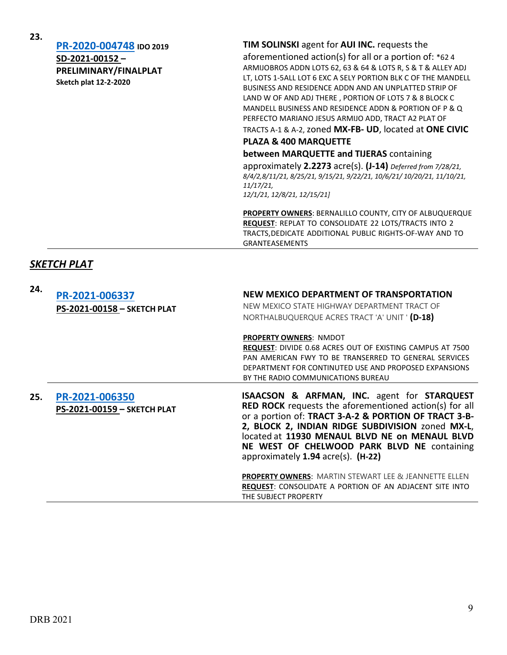**23.**

### **[PR-2020-004748](http://data.cabq.gov/government/planning/DRB/PR-2020-004748/DRB%20Submittals/) IDO 2019 SD-2021-00152 – PRELIMINARY/FINALPLAT Sketch plat 12-2-2020**

### **TIM SOLINSKI** agent for **AUI INC.** requests the

aforementioned action(s) for all or a portion of: \*62 4 ARMIJOBROS ADDN LOTS 62, 63 & 64 & LOTS R, S & T & ALLEY ADJ LT, LOTS 1-5ALL LOT 6 EXC A SELY PORTION BLK C OF THE MANDELL BUSINESS AND RESIDENCE ADDN AND AN UNPLATTED STRIP OF LAND W OF AND ADJ THERE , PORTION OF LOTS 7 & 8 BLOCK C MANDELL BUSINESS AND RESIDENCE ADDN & PORTION OF P & Q PERFECTO MARIANO JESUS ARMIJO ADD, TRACT A2 PLAT OF

TRACTS A-1 & A-2, zoned **MX-FB- UD**, located at **ONE CIVIC PLAZA & 400 MARQUETTE**

**between MARQUETTE and TIJERAS** containing

approximately **2.2273** acre(s). **(J-14)** *Deferred from 7/28/21, 8/4/2,8/11/21, 8/25/21, 9/15/21, 9/22/21, 10/6/21/ 10/20/21, 11/10/21, 11/17/21, 12/1/21, 12/8/21, 12/15/21]*

**PROPERTY OWNERS**: BERNALILLO COUNTY, CITY OF ALBUQUERQUE **REQUEST**: REPLAT TO CONSOLIDATE 22 LOTS/TRACTS INTO 2 TRACTS,DEDICATE ADDITIONAL PUBLIC RIGHTS-OF-WAY AND TO GRANTEASEMENTS

## *SKETCH PLAT*

| 24. | PR-2021-006337<br>PS-2021-00158 - SKETCH PLAT | NEW MEXICO DEPARTMENT OF TRANSPORTATION<br>NEW MEXICO STATE HIGHWAY DEPARTMENT TRACT OF<br>NORTHALBUQUERQUE ACRES TRACT 'A' UNIT ' (D-18)                                                                                                                                                                                                                                  |
|-----|-----------------------------------------------|----------------------------------------------------------------------------------------------------------------------------------------------------------------------------------------------------------------------------------------------------------------------------------------------------------------------------------------------------------------------------|
|     |                                               | <b>PROPERTY OWNERS: NMDOT</b><br><b>REQUEST: DIVIDE 0.68 ACRES OUT OF EXISTING CAMPUS AT 7500</b><br>PAN AMERICAN FWY TO BE TRANSERRED TO GENERAL SERVICES<br>DEPARTMENT FOR CONTINUTED USE AND PROPOSED EXPANSIONS<br>BY THE RADIO COMMUNICATIONS BUREAU                                                                                                                  |
| 25. | PR-2021-006350<br>PS-2021-00159 - SKETCH PLAT | <b>ISAACSON &amp; ARFMAN, INC. agent for STARQUEST</b><br><b>RED ROCK</b> requests the aforementioned action(s) for all<br>or a portion of: TRACT 3-A-2 & PORTION OF TRACT 3-B-<br>2, BLOCK 2, INDIAN RIDGE SUBDIVISION zoned MX-L,<br>located at 11930 MENAUL BLVD NE on MENAUL BLVD<br>NE WEST OF CHELWOOD PARK BLVD NE containing<br>approximately 1.94 acre(s). (H-22) |
|     |                                               | <b>PROPERTY OWNERS: MARTIN STEWART LEE &amp; JEANNETTE ELLEN</b><br><b>REQUEST: CONSOLIDATE A PORTION OF AN ADJACENT SITE INTO</b><br>THE SUBJECT PROPERTY                                                                                                                                                                                                                 |